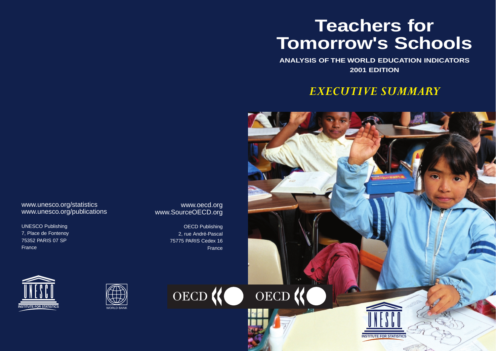# **Teachers for Tomorrow's Schools**

**ANALYSIS OF THE WORLD EDUCATION INDICATORS 2001 EDITION**

# *EXECUTIVE SUMMARY*

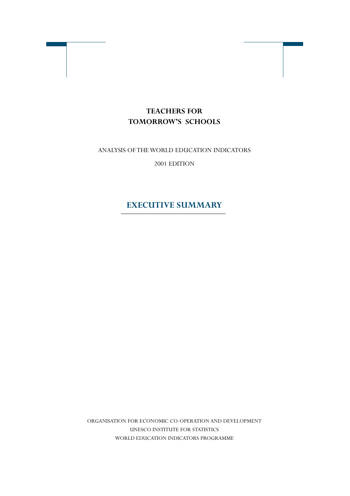### **TEACHERS FOR TOMORROW'S SCHOOLS**

ANALYSIS OF THE WORLD EDUCATION INDICATORS

2001 EDITION

# **EXECUTIVE SUMMARY**

ORGANISATION FOR ECONOMIC CO-OPERATION AND DEVELOPMENT UNESCO INSTITUTE FOR STATISTICS WORLD EDUCATION INDICATORS PROGRAMME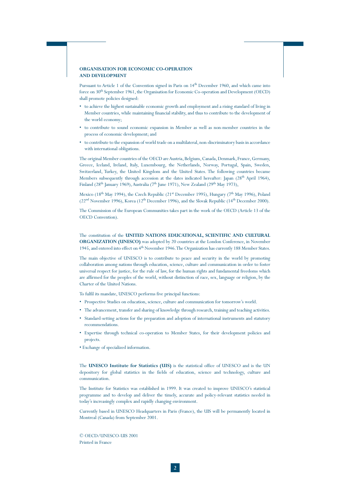#### **ORGANISATION FOR ECONOMIC CO-OPERATION AND DEVELOPMENT**

Pursuant to Article 1 of the Convention signed in Paris on 14<sup>th</sup> December 1960, and which came into force on 30<sup>th</sup> September 1961, the Organisation for Economic Co-operation and Development (OECD) shall promote policies designed:

- to achieve the highest sustainable economic growth and employment and a rising standard of living in Member countries, while maintaining financial stability, and thus to contribute to the development of the world economy;
- to contribute to sound economic expansion in Member as well as non-member countries in the process of economic development; and
- to contribute to the expansion of world trade on a multilateral, non-discriminatory basis in accordance with international obligations.

The original Member countries of the OECD are Austria, Belgium, Canada, Denmark, France, Germany, Greece, Iceland, Ireland, Italy, Luxembourg, the Netherlands, Norway, Portugal, Spain, Sweden, Switzerland, Turkey, the United Kingdom and the United States. The following countries became Members subsequently through accession at the dates indicated hereafter: Japan (28<sup>th</sup> April 1964), Finland (28<sup>th</sup> January 1969), Australia (7<sup>th</sup> June 1971), New Zealand (29<sup>th</sup> May 1973),

Mexico (18<sup>th</sup> May 1994), the Czech Republic (21<sup>st</sup> December 1995), Hungary (7<sup>th</sup> May 1996), Poland  $(22<sup>nd</sup>$  November 1996), Korea (12<sup>th</sup> December 1996), and the Slovak Republic (14<sup>th</sup> December 2000).

The Commission of the European Communities takes part in the work of the OECD (Article 13 of the OECD Convention).

The constitution of the **UNITED NATIONS EDUCATIONAL, SCIENTIFIC AND CULTURAL ORGANIZATION (UNESCO)** was adopted by 20 countries at the London Conference, in November 1945, and entered into effect on 4<sup>th</sup> November 1946. The Organization has currently 188 Member States.

The main objective of UNESCO is to contribute to peace and security in the world by promoting collaboration among nations through education, science, culture and communication in order to foster universal respect for justice, for the rule of law, for the human rights and fundamental freedoms which are affirmed for the peoples of the world, without distinction of race, sex, language or religion, by the Charter of the United Nations.

To fulfil its mandate, UNESCO performs five principal functions:

- Prospective Studies on education, science, culture and communication for tomorrow's world.
- The advancement, transfer and sharing of knowledge through research, training and teaching activities.
- Standard-setting actions for the preparation and adoption of international instruments and statutory recommendations.
- Expertise through technical co-operation to Member States, for their development policies and projects.
- Exchange of specialized information.

The **UNESCO Institute for Statistics (UIS)** is the statistical office of UNESCO and is the UN depository for global statistics in the fields of education, science and technology, culture and communication.

The Institute for Statistics was established in 1999. It was created to improve UNESCO's statistical programme and to develop and deliver the timely, accurate and policy-relevant statistics needed in today's increasingly complex and rapidly changing environment.

Currently based in UNESCO Headquarters in Paris (France), the UIS will be permanently located in Montreal (Canada) from September 2001.

© OECD/UNESCO-UIS 2001 Printed in France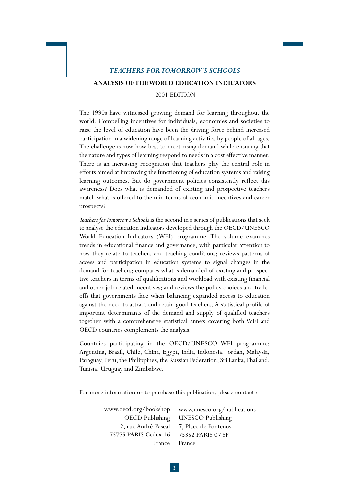# *TEACHERS FOR TOMORROW'S SCHOOLS* **ANALYSIS OF THE WORLD EDUCATION INDICATORS**

#### 2001 EDITION

The 1990s have witnessed growing demand for learning throughout the world. Compelling incentives for individuals, economies and societies to raise the level of education have been the driving force behind increased participation in a widening range of learning activities by people of all ages. The challenge is now how best to meet rising demand while ensuring that the nature and types of learning respond to needs in a cost effective manner. There is an increasing recognition that teachers play the central role in efforts aimed at improving the functioning of education systems and raising learning outcomes. But do government policies consistently reflect this awareness? Does what is demanded of existing and prospective teachers match what is offered to them in terms of economic incentives and career prospects?

*Teachers for Tomorrow's Schools* is the second in a series of publications that seek to analyse the education indicators developed through the OECD/UNESCO World Education Indicators (WEI) programme. The volume examines trends in educational finance and governance, with particular attention to how they relate to teachers and teaching conditions; reviews patterns of access and participation in education systems to signal changes in the demand for teachers; compares what is demanded of existing and prospective teachers in terms of qualifications and workload with existing financial and other job-related incentives; and reviews the policy choices and tradeoffs that governments face when balancing expanded access to education against the need to attract and retain good teachers. A statistical profile of important determinants of the demand and supply of qualified teachers together with a comprehensive statistical annex covering both WEI and OECD countries complements the analysis.

Countries participating in the OECD/UNESCO WEI programme: Argentina, Brazil, Chile, China, Egypt, India, Indonesia, Jordan, Malaysia, Paraguay, Peru, the Philippines, the Russian Federation, Sri Lanka,Thailand, Tunisia, Uruguay and Zimbabwe.

For more information or to purchase this publication, please contact :

www.unesco.org/publications UNESCO Publishing 7, Place de Fontenoy 75352 PARIS 07 SP France www.oecd.org/bookshop OECD Publishing 2, rue André-Pascal 75775 PARIS Cedex 16 France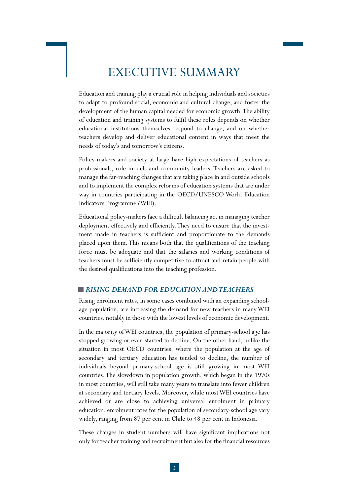# EXECUTIVE SUMMARY

Education and training play a crucial role in helping individuals and societies to adapt to profound social, economic and cultural change, and foster the development of the human capital needed for economic growth.The ability of education and training systems to fulfil these roles depends on whether educational institutions themselves respond to change, and on whether teachers develop and deliver educational content in ways that meet the needs of today's and tomorrow's citizens.

Policy-makers and society at large have high expectations of teachers as professionals, role models and community leaders. Teachers are asked to manage the far-reaching changes that are taking place in and outside schools and to implement the complex reforms of education systems that are under way in countries participating in the OECD/UNESCO World Education Indicators Programme (WEI).

Educational policy-makers face a difficult balancing act in managing teacher deployment effectively and efficiently.They need to ensure that the investment made in teachers is sufficient and proportionate to the demands placed upon them. This means both that the qualifications of the teaching force must be adequate and that the salaries and working conditions of teachers must be sufficiently competitive to attract and retain people with the desired qualifications into the teaching profession.

#### *RISING DEMAND FOR EDUCATION AND TEACHERS*

Rising enrolment rates, in some cases combined with an expanding schoolage population, are increasing the demand for new teachers in many WEI countries, notably in those with the lowest levels of economic development.

In the majority of WEI countries, the population of primary-school age has stopped growing or even started to decline. On the other hand, unlike the situation in most OECD countries, where the population at the age of secondary and tertiary education has tended to decline, the number of individuals beyond primary-school age is still growing in most WEI countries. The slowdown in population growth, which began in the 1970s in most countries, will still take many years to translate into fewer children at secondary and tertiary levels. Moreover, while most WEI countries have achieved or are close to achieving universal enrolment in primary education, enrolment rates for the population of secondary-school age vary widely, ranging from 87 per cent in Chile to 48 per cent in Indonesia.

These changes in student numbers will have significant implications not only for teacher training and recruitment but also for the financial resources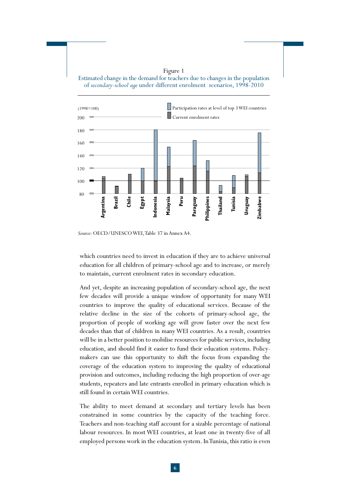



*Source*: OECD/UNESCO WEI, Table 37 in Annex A4.

which countries need to invest in education if they are to achieve universal education for all children of primary-school age and to increase, or merely to maintain, current enrolment rates in secondary education.

And yet, despite an increasing population of secondary-school age, the next few decades will provide a unique window of opportunity for many WEI countries to improve the quality of educational services. Because of the relative decline in the size of the cohorts of primary-school age, the proportion of people of working age will grow faster over the next few decades than that of children in many WEI countries. As a result, countries will be in a better position to mobilise resources for public services, including education, and should find it easier to fund their education systems. Policymakers can use this opportunity to shift the focus from expanding the coverage of the education system to improving the quality of educational provision and outcomes, including reducing the high proportion of over-age students, repeaters and late entrants enrolled in primary education which is still found in certain WEI countries.

The ability to meet demand at secondary and tertiary levels has been constrained in some countries by the capacity of the teaching force. Teachers and non-teaching staff account for a sizable percentage of national labour resources. In most WEI countries, at least one in twenty-five of all employed persons work in the education system. In Tunisia, this ratio is even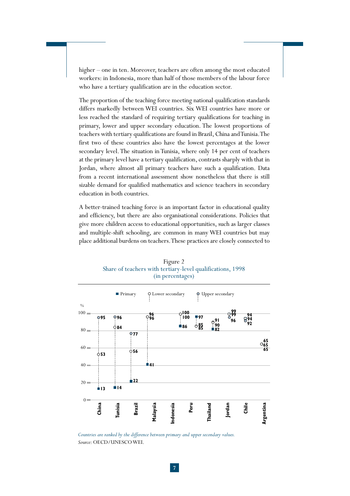higher – one in ten. Moreover, teachers are often among the most educated workers: in Indonesia, more than half of those members of the labour force who have a tertiary qualification are in the education sector.

The proportion of the teaching force meeting national qualification standards differs markedly between WEI countries. Six WEI countries have more or less reached the standard of requiring tertiary qualifications for teaching in primary, lower and upper secondary education. The lowest proportions of teachers with tertiary qualifications are found in Brazil, China and Tunisia.The first two of these countries also have the lowest percentages at the lower secondary level.The situation in Tunisia, where only 14 per cent of teachers at the primary level have a tertiary qualification, contrasts sharply with that in Jordan, where almost all primary teachers have such a qualification. Data from a recent international assessment show nonetheless that there is still sizable demand for qualified mathematics and science teachers in secondary education in both countries.

A better-trained teaching force is an important factor in educational quality and efficiency, but there are also organisational considerations. Policies that give more children access to educational opportunities, such as larger classes and multiple-shift schooling, are common in many WEI countries but may place additional burdens on teachers.These practices are closely connected to



Figure 2 Share of teachers with tertiary-level qualifications, 1998 (in percentages)

*Countries are ranked by the difference between primary and upper secondary values. Source*: OECD/UNESCO WEI.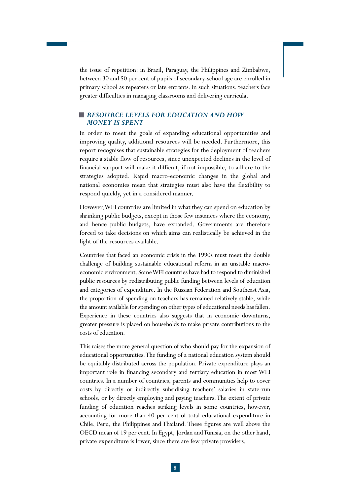the issue of repetition: in Brazil, Paraguay, the Philippines and Zimbabwe, between 30 and 50 per cent of pupils of secondary-school age are enrolled in primary school as repeaters or late entrants. In such situations, teachers face greater difficulties in managing classrooms and delivering curricula.

#### *RESOURCE LEVELS FOR EDUCATION AND HOW MONEY IS SPENT*

In order to meet the goals of expanding educational opportunities and improving quality, additional resources will be needed. Furthermore, this report recognises that sustainable strategies for the deployment of teachers require a stable flow of resources, since unexpected declines in the level of financial support will make it difficult, if not impossible, to adhere to the strategies adopted. Rapid macro-economic changes in the global and national economies mean that strategies must also have the flexibility to respond quickly, yet in a considered manner.

However,WEI countries are limited in what they can spend on education by shrinking public budgets, except in those few instances where the economy, and hence public budgets, have expanded. Governments are therefore forced to take decisions on which aims can realistically be achieved in the light of the resources available.

Countries that faced an economic crisis in the 1990s must meet the double challenge of building sustainable educational reform in an unstable macroeconomic environment. Some WEI countries have had to respond to diminished public resources by redistributing public funding between levels of education and categories of expenditure. In the Russian Federation and Southeast Asia, the proportion of spending on teachers has remained relatively stable, while the amount available for spending on other types of educational needs has fallen. Experience in these countries also suggests that in economic downturns, greater pressure is placed on households to make private contributions to the costs of education.

This raises the more general question of who should pay for the expansion of educational opportunities.The funding of a national education system should be equitably distributed across the population. Private expenditure plays an important role in financing secondary and tertiary education in most WEI countries. In a number of countries, parents and communities help to cover costs by directly or indirectly subsidising teachers' salaries in state-run schools, or by directly employing and paying teachers.The extent of private funding of education reaches striking levels in some countries, however, accounting for more than 40 per cent of total educational expenditure in Chile, Peru, the Philippines and Thailand. These figures are well above the OECD mean of 19 per cent. In Egypt, Jordan and Tunisia, on the other hand, private expenditure is lower, since there are few private providers.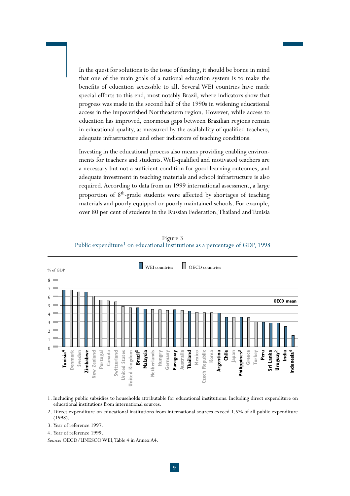In the quest for solutions to the issue of funding, it should be borne in mind that one of the main goals of a national education system is to make the benefits of education accessible to all. Several WEI countries have made special efforts to this end, most notably Brazil, where indicators show that progress was made in the second half of the 1990s in widening educational access in the impoverished Northeastern region. However, while access to education has improved, enormous gaps between Brazilian regions remain in educational quality, as measured by the availability of qualified teachers, adequate infrastructure and other indicators of teaching conditions.

Investing in the educational process also means providing enabling environments for teachers and students.Well-qualified and motivated teachers are a necessary but not a sufficient condition for good learning outcomes, and adequate investment in teaching materials and school infrastructure is also required. According to data from an 1999 international assessment, a large proportion of 8<sup>th</sup>-grade students were affected by shortages of teaching materials and poorly equipped or poorly maintained schools. For example, over 80 per cent of students in the Russian Federation,Thailand and Tunisia

Figure 3 Public expenditure<sup>1</sup> on educational institutions as a percentage of GDP, 1998



- 1. Including public subsidies to households attributable for educational institutions. Including direct expenditure on educational institutions from international sources.
- 2. Direct expenditure on educational institutions from international sources exceed 1.5% of all public expenditure (1998).
- 3. Year of reference 1997.
- 4. Year of reference 1999.
-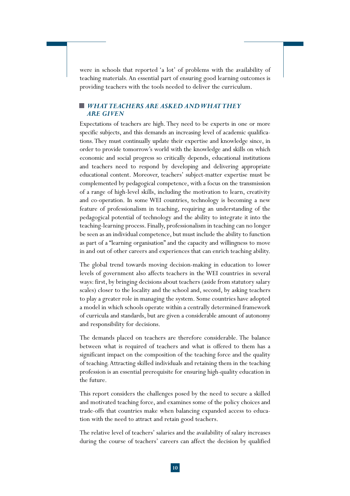were in schools that reported 'a lot' of problems with the availability of teaching materials. An essential part of ensuring good learning outcomes is providing teachers with the tools needed to deliver the curriculum.

#### *WHAT TEACHERS ARE ASKED AND WHAT THEY ARE GIVEN*

Expectations of teachers are high. They need to be experts in one or more specific subjects, and this demands an increasing level of academic qualifications.They must continually update their expertise and knowledge since, in order to provide tomorrow's world with the knowledge and skills on which economic and social progress so critically depends, educational institutions and teachers need to respond by developing and delivering appropriate educational content. Moreover, teachers' subject-matter expertise must be complemented by pedagogical competence, with a focus on the transmission of a range of high-level skills, including the motivation to learn, creativity and co-operation. In some WEI countries, technology is becoming a new feature of professionalism in teaching, requiring an understanding of the pedagogical potential of technology and the ability to integrate it into the teaching-learning process. Finally, professionalism in teaching can no longer be seen as an individual competence, but must include the ability to function as part of a "learning organisation" and the capacity and willingness to move in and out of other careers and experiences that can enrich teaching ability.

The global trend towards moving decision-making in education to lower levels of government also affects teachers in the WEI countries in several ways: first, by bringing decisions about teachers (aside from statutory salary scales) closer to the locality and the school and, second, by asking teachers to play a greater role in managing the system. Some countries have adopted a model in which schools operate within a centrally determined framework of curricula and standards, but are given a considerable amount of autonomy and responsibility for decisions.

The demands placed on teachers are therefore considerable. The balance between what is required of teachers and what is offered to them has a significant impact on the composition of the teaching force and the quality of teaching.Attracting skilled individuals and retaining them in the teaching profession is an essential prerequisite for ensuring high-quality education in the future.

This report considers the challenges posed by the need to secure a skilled and motivated teaching force, and examines some of the policy choices and trade-offs that countries make when balancing expanded access to education with the need to attract and retain good teachers.

The relative level of teachers' salaries and the availability of salary increases during the course of teachers' careers can affect the decision by qualified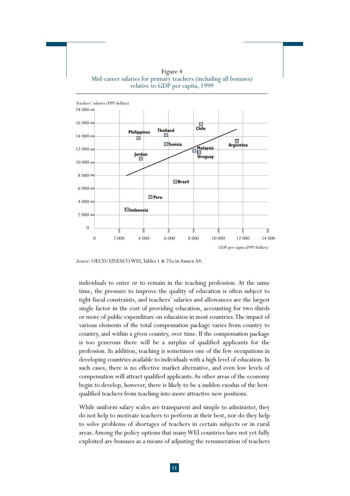

Figure 4 Mid-career salaries for primary teachers (including all bonuses) relative to GDP per capita, 1999

*Source*: OECD/UNESCO WEI, Tables 1 & 25*a* in Annex A4.

individuals to enter or to remain in the teaching profession. At the same time, the pressure to improve the quality of education is often subject to tight fiscal constraints, and teachers' salaries and allowances are the largest single factor in the cost of providing education, accounting for two-thirds or more of public expenditure on education in most countries.The impact of various elements of the total compensation package varies from country to country, and within a given country, over time. If the compensation package is too generous there will be a surplus of qualified applicants for the profession. In addition, teaching is sometimes one of the few occupations in developing countries available to individuals with a high level of education. In such cases, there is no effective market alternative, and even low levels of compensation will attract qualified applicants. As other areas of the economy begin to develop, however, there is likely to be a sudden exodus of the bestqualified teachers from teaching into more attractive new positions.

While uniform salary scales are transparent and simple to administer, they do not help to motivate teachers to perform at their best, nor do they help to solve problems of shortages of teachers in certain subjects or in rural areas.Among the policy options that many WEI countries have not yet fully exploited are bonuses as a means of adjusting the remuneration of teachers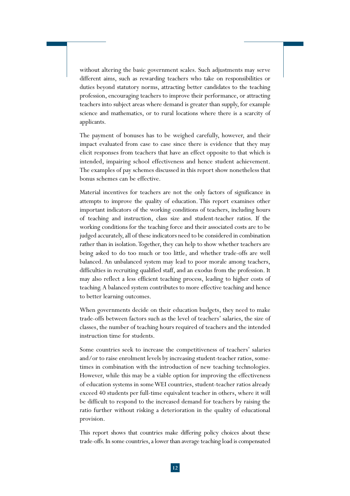without altering the basic government scales. Such adjustments may serve different aims, such as rewarding teachers who take on responsibilities or duties beyond statutory norms, attracting better candidates to the teaching profession, encouraging teachers to improve their performance, or attracting teachers into subject areas where demand is greater than supply, for example science and mathematics, or to rural locations where there is a scarcity of applicants.

The payment of bonuses has to be weighed carefully, however, and their impact evaluated from case to case since there is evidence that they may elicit responses from teachers that have an effect opposite to that which is intended, impairing school effectiveness and hence student achievement. The examples of pay schemes discussed in this report show nonetheless that bonus schemes can be effective.

Material incentives for teachers are not the only factors of significance in attempts to improve the quality of education. This report examines other important indicators of the working conditions of teachers, including hours of teaching and instruction, class size and student-teacher ratios. If the working conditions for the teaching force and their associated costs are to be judged accurately, all of these indicators need to be considered in combination rather than in isolation. Together, they can help to show whether teachers are being asked to do too much or too little, and whether trade-offs are well balanced. An unbalanced system may lead to poor morale among teachers, difficulties in recruiting qualified staff, and an exodus from the profession. It may also reflect a less efficient teaching process, leading to higher costs of teaching.A balanced system contributes to more effective teaching and hence to better learning outcomes.

When governments decide on their education budgets, they need to make trade-offs between factors such as the level of teachers' salaries, the size of classes, the number of teaching hours required of teachers and the intended instruction time for students.

Some countries seek to increase the competitiveness of teachers' salaries and/or to raise enrolment levels by increasing student-teacher ratios, sometimes in combination with the introduction of new teaching technologies. However, while this may be a viable option for improving the effectiveness of education systems in some WEI countries, student-teacher ratios already exceed 40 students per full-time equivalent teacher in others, where it will be difficult to respond to the increased demand for teachers by raising the ratio further without risking a deterioration in the quality of educational provision.

This report shows that countries make differing policy choices about these trade-offs. In some countries, a lower than average teaching load is compensated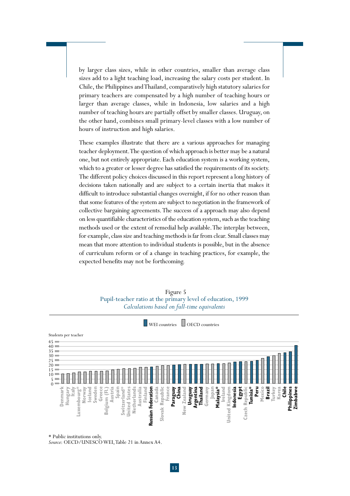by larger class sizes, while in other countries, smaller than average class sizes add to a light teaching load, increasing the salary costs per student. In Chile, the Philippines and Thailand, comparatively high statutory salaries for primary teachers are compensated by a high number of teaching hours or larger than average classes, while in Indonesia, low salaries and a high number of teaching hours are partially offset by smaller classes. Uruguay, on the other hand, combines small primary-level classes with a low number of hours of instruction and high salaries.

These examples illustrate that there are a various approaches for managing teacher deployment.The question of which approach is better may be a natural one, but not entirely appropriate. Each education system is a working system, which to a greater or lesser degree has satisfied the requirements of its society. The different policy choices discussed in this report represent a long history of decisions taken nationally and are subject to a certain inertia that makes it difficult to introduce substantial changes overnight, if for no other reason than that some features of the system are subject to negotiation in the framework of collective bargaining agreements.The success of a approach may also depend on less quantifiable characteristics of the education system, such as the teaching methods used or the extent of remedial help available.The interplay between, for example, class size and teaching methods is far from clear. Small classes may mean that more attention to individual students is possible, but in the absence of curriculum reform or of a change in teaching practices, for example, the expected benefits may not be forthcoming.

 Figure 5 Pupil-teacher ratio at the primary level of education, 1999 *Calculations based on full-time equivalents*



\* Public institutions only.

*Source*: OECD/UNESCO WEI, Table 21 in Annex A4.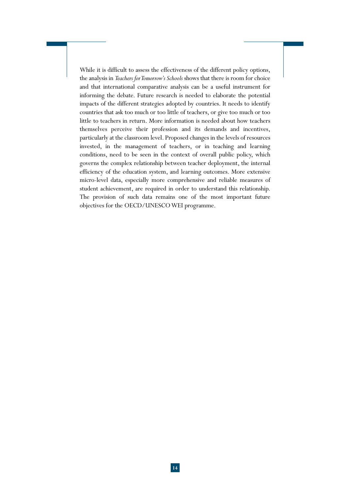While it is difficult to assess the effectiveness of the different policy options, the analysis in *Teachers for Tomorrow's Schools* shows that there is room for choice and that international comparative analysis can be a useful instrument for informing the debate. Future research is needed to elaborate the potential impacts of the different strategies adopted by countries. It needs to identify countries that ask too much or too little of teachers, or give too much or too little to teachers in return. More information is needed about how teachers themselves perceive their profession and its demands and incentives, particularly at the classroom level. Proposed changes in the levels of resources invested, in the management of teachers, or in teaching and learning conditions, need to be seen in the context of overall public policy, which governs the complex relationship between teacher deployment, the internal efficiency of the education system, and learning outcomes. More extensive micro-level data, especially more comprehensive and reliable measures of student achievement, are required in order to understand this relationship. The provision of such data remains one of the most important future objectives for the OECD/UNESCO WEI programme.